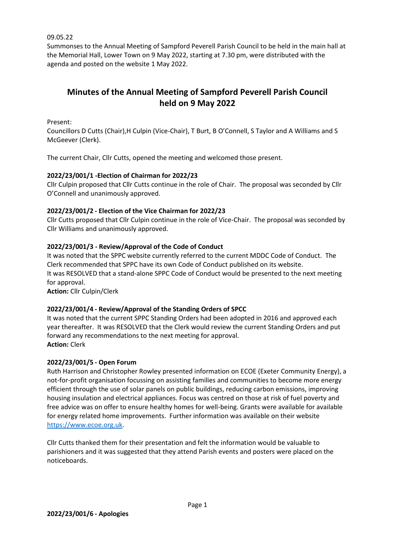09.05.22

Summonses to the Annual Meeting of Sampford Peverell Parish Council to be held in the main hall at the Memorial Hall, Lower Town on 9 May 2022, starting at 7.30 pm, were distributed with the agenda and posted on the website 1 May 2022.

# **Minutes of the Annual Meeting of Sampford Peverell Parish Council held on 9 May 2022**

Present:

Councillors D Cutts (Chair),H Culpin (Vice-Chair), T Burt, B O'Connell, S Taylor and A Williams and S McGeever (Clerk).

The current Chair, Cllr Cutts, opened the meeting and welcomed those present.

#### **2022/23/001/1 -Election of Chairman for 2022/23**

Cllr Culpin proposed that Cllr Cutts continue in the role of Chair. The proposal was seconded by Cllr O'Connell and unanimously approved.

#### **2022/23/001/2 - Election of the Vice Chairman for 2022/23**

Cllr Cutts proposed that Cllr Culpin continue in the role of Vice-Chair. The proposal was seconded by Cllr Williams and unanimously approved.

#### **2022/23/001/3 - Review/Approval of the Code of Conduct**

It was noted that the SPPC website currently referred to the current MDDC Code of Conduct. The Clerk recommended that SPPC have its own Code of Conduct published on its website. It was RESOLVED that a stand-alone SPPC Code of Conduct would be presented to the next meeting for approval. **Action:** Cllr Culpin/Clerk

## **2022/23/001/4 - Review/Approval of the Standing Orders of SPCC**

It was noted that the current SPPC Standing Orders had been adopted in 2016 and approved each year thereafter. It was RESOLVED that the Clerk would review the current Standing Orders and put forward any recommendations to the next meeting for approval. **Action:** Clerk

#### **2022/23/001/5 - Open Forum**

Ruth Harrison and Christopher Rowley presented information on ECOE (Exeter Community Energy), a not-for-profit organisation focussing on assisting families and communities to become more energy efficient through the use of solar panels on public buildings, reducing carbon emissions, improving housing insulation and electrical appliances. Focus was centred on those at risk of fuel poverty and free advice was on offer to ensure healthy homes for well-being. Grants were available for available for energy related home improvements. Further information was available on their website [https://www.ecoe.org.uk.](https://www.ecoe.org.uk/)

Cllr Cutts thanked them for their presentation and felt the information would be valuable to parishioners and it was suggested that they attend Parish events and posters were placed on the noticeboards.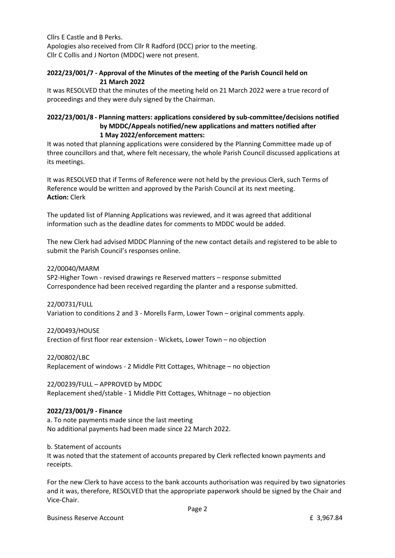Cllrs E Castle and B Perks. Apologies also received from Cllr R Radford (DCC) prior to the meeting. Cllr C Collis and J Norton (MDDC) were not present.

## **2022/23/001/7 - Approval of the Minutes of the meeting of the Parish Council held on 21 March 2022**

It was RESOLVED that the minutes of the meeting held on 21 March 2022 were a true record of proceedings and they were duly signed by the Chairman.

#### **2022/23/001/8 - Planning matters: applications considered by sub-committee/decisions notified by MDDC/Appeals notified/new applications and matters notified after 1 May 2022/enforcement matters:**

It was noted that planning applications were considered by the Planning Committee made up of three councillors and that, where felt necessary, the whole Parish Council discussed applications at its meetings.

It was RESOLVED that if Terms of Reference were not held by the previous Clerk, such Terms of Reference would be written and approved by the Parish Council at its next meeting. **Action:** Clerk

The updated list of Planning Applications was reviewed, and it was agreed that additional information such as the deadline dates for comments to MDDC would be added.

The new Clerk had advised MDDC Planning of the new contact details and registered to be able to submit the Parish Council's responses online.

22/00040/MARM SP2-Higher Town - revised drawings re Reserved matters – response submitted Correspondence had been received regarding the planter and a response submitted.

22/00731/FULL Variation to conditions 2 and 3 - Morells Farm, Lower Town – original comments apply.

22/00493/HOUSE Erection of first floor rear extension - Wickets, Lower Town – no objection

22/00802/LBC Replacement of windows - 2 Middle Pitt Cottages, Whitnage – no objection

22/00239/FULL – APPROVED by MDDC Replacement shed/stable - 1 Middle Pitt Cottages, Whitnage – no objection

## **2022/23/001/9 - Finance**

a. To note payments made since the last meeting No additional payments had been made since 22 March 2022.

b. Statement of accounts

It was noted that the statement of accounts prepared by Clerk reflected known payments and receipts.

For the new Clerk to have access to the bank accounts authorisation was required by two signatories and it was, therefore, RESOLVED that the appropriate paperwork should be signed by the Chair and Vice-Chair.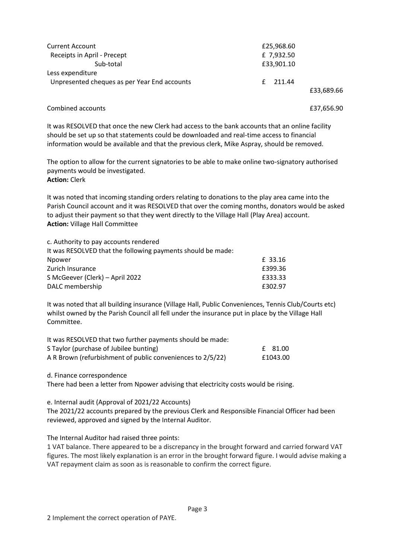| <b>Current Account</b>                       | £25,968.60 |
|----------------------------------------------|------------|
| Receipts in April - Precept                  | £ 7,932.50 |
| Sub-total                                    | £33,901.10 |
| Less expenditure                             |            |
| Unpresented cheques as per Year End accounts | 211.44     |
|                                              | £33,689.66 |

Combined accounts £37,656.90

It was RESOLVED that once the new Clerk had access to the bank accounts that an online facility should be set up so that statements could be downloaded and real-time access to financial information would be available and that the previous clerk, Mike Aspray, should be removed.

The option to allow for the current signatories to be able to make online two-signatory authorised payments would be investigated. **Action:** Clerk

It was noted that incoming standing orders relating to donations to the play area came into the Parish Council account and it was RESOLVED that over the coming months, donators would be asked to adjust their payment so that they went directly to the Village Hall (Play Area) account. **Action:** Village Hall Committee

| c. Authority to pay accounts rendered                       |         |
|-------------------------------------------------------------|---------|
| It was RESOLVED that the following payments should be made: |         |
| Npower                                                      | £ 33.16 |
| Zurich Insurance                                            | £399.36 |
| S McGeever (Clerk) - April 2022                             | £333.33 |
| DALC membership                                             | £302.97 |

It was noted that all building insurance (Village Hall, Public Conveniences, Tennis Club/Courts etc) whilst owned by the Parish Council all fell under the insurance put in place by the Village Hall Committee.

| It was RESOLVED that two further payments should be made:  |          |
|------------------------------------------------------------|----------|
| S Taylor (purchase of Jubilee bunting)                     | £ 81.00  |
| A R Brown (refurbishment of public conveniences to 2/5/22) | £1043.00 |

d. Finance correspondence

There had been a letter from Npower advising that electricity costs would be rising.

e. Internal audit (Approval of 2021/22 Accounts)

The 2021/22 accounts prepared by the previous Clerk and Responsible Financial Officer had been reviewed, approved and signed by the Internal Auditor.

The Internal Auditor had raised three points:

1 VAT balance. There appeared to be a discrepancy in the brought forward and carried forward VAT figures. The most likely explanation is an error in the brought forward figure. I would advise making a VAT repayment claim as soon as is reasonable to confirm the correct figure.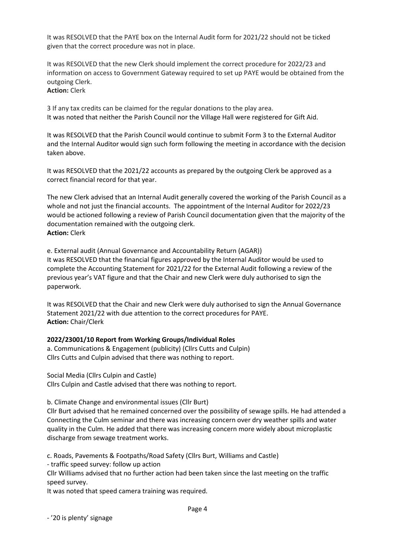It was RESOLVED that the PAYE box on the Internal Audit form for 2021/22 should not be ticked given that the correct procedure was not in place.

It was RESOLVED that the new Clerk should implement the correct procedure for 2022/23 and information on access to Government Gateway required to set up PAYE would be obtained from the outgoing Clerk.

**Action:** Clerk

3 If any tax credits can be claimed for the regular donations to the play area. It was noted that neither the Parish Council nor the Village Hall were registered for Gift Aid.

It was RESOLVED that the Parish Council would continue to submit Form 3 to the External Auditor and the Internal Auditor would sign such form following the meeting in accordance with the decision taken above.

It was RESOLVED that the 2021/22 accounts as prepared by the outgoing Clerk be approved as a correct financial record for that year.

The new Clerk advised that an Internal Audit generally covered the working of the Parish Council as a whole and not just the financial accounts. The appointment of the Internal Auditor for 2022/23 would be actioned following a review of Parish Council documentation given that the majority of the documentation remained with the outgoing clerk. **Action:** Clerk

e. External audit (Annual Governance and Accountability Return (AGAR)) It was RESOLVED that the financial figures approved by the Internal Auditor would be used to complete the Accounting Statement for 2021/22 for the External Audit following a review of the previous year's VAT figure and that the Chair and new Clerk were duly authorised to sign the paperwork.

It was RESOLVED that the Chair and new Clerk were duly authorised to sign the Annual Governance Statement 2021/22 with due attention to the correct procedures for PAYE. **Action:** Chair/Clerk

#### **2022/23001/10 Report from Working Groups/Individual Roles**

a. Communications & Engagement (publicity) (Cllrs Cutts and Culpin) Cllrs Cutts and Culpin advised that there was nothing to report.

Social Media (Cllrs Culpin and Castle) Cllrs Culpin and Castle advised that there was nothing to report.

b. Climate Change and environmental issues (Cllr Burt)

Cllr Burt advised that he remained concerned over the possibility of sewage spills. He had attended a Connecting the Culm seminar and there was increasing concern over dry weather spills and water quality in the Culm. He added that there was increasing concern more widely about microplastic discharge from sewage treatment works.

c. Roads, Pavements & Footpaths/Road Safety (Cllrs Burt, Williams and Castle)

- traffic speed survey: follow up action

Cllr Williams advised that no further action had been taken since the last meeting on the traffic speed survey.

It was noted that speed camera training was required.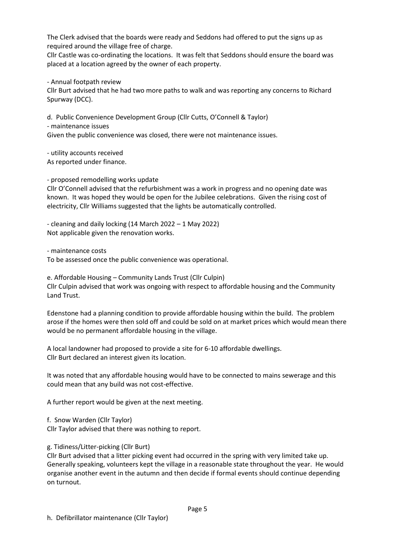The Clerk advised that the boards were ready and Seddons had offered to put the signs up as required around the village free of charge.

Cllr Castle was co-ordinating the locations. It was felt that Seddons should ensure the board was placed at a location agreed by the owner of each property.

- Annual footpath review

Cllr Burt advised that he had two more paths to walk and was reporting any concerns to Richard Spurway (DCC).

d. Public Convenience Development Group (Cllr Cutts, O'Connell & Taylor) - maintenance issues Given the public convenience was closed, there were not maintenance issues.

- utility accounts received As reported under finance.

- proposed remodelling works update

Cllr O'Connell advised that the refurbishment was a work in progress and no opening date was known. It was hoped they would be open for the Jubilee celebrations. Given the rising cost of electricity, Cllr Williams suggested that the lights be automatically controlled.

- cleaning and daily locking (14 March 2022 – 1 May 2022) Not applicable given the renovation works.

- maintenance costs

To be assessed once the public convenience was operational.

e. Affordable Housing – Community Lands Trust (Cllr Culpin) Cllr Culpin advised that work was ongoing with respect to affordable housing and the Community Land Trust.

Edenstone had a planning condition to provide affordable housing within the build. The problem arose if the homes were then sold off and could be sold on at market prices which would mean there would be no permanent affordable housing in the village.

A local landowner had proposed to provide a site for 6-10 affordable dwellings. Cllr Burt declared an interest given its location.

It was noted that any affordable housing would have to be connected to mains sewerage and this could mean that any build was not cost-effective.

A further report would be given at the next meeting.

f. Snow Warden (Cllr Taylor)

Cllr Taylor advised that there was nothing to report.

g. Tidiness/Litter-picking (Cllr Burt)

Cllr Burt advised that a litter picking event had occurred in the spring with very limited take up. Generally speaking, volunteers kept the village in a reasonable state throughout the year. He would organise another event in the autumn and then decide if formal events should continue depending on turnout.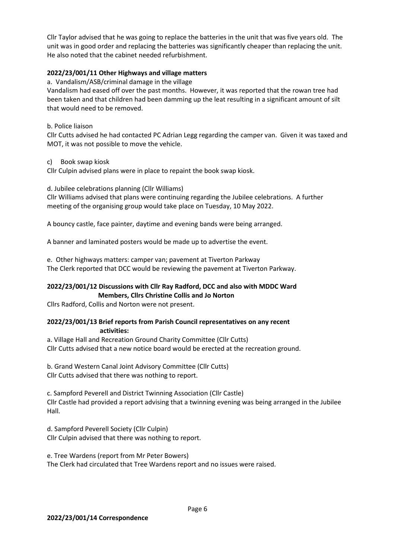Cllr Taylor advised that he was going to replace the batteries in the unit that was five years old. The unit was in good order and replacing the batteries was significantly cheaper than replacing the unit. He also noted that the cabinet needed refurbishment.

# **2022/23/001/11 Other Highways and village matters**

a. Vandalism/ASB/criminal damage in the village

Vandalism had eased off over the past months. However, it was reported that the rowan tree had been taken and that children had been damming up the leat resulting in a significant amount of silt that would need to be removed.

b. Police liaison

Cllr Cutts advised he had contacted PC Adrian Legg regarding the camper van. Given it was taxed and MOT, it was not possible to move the vehicle.

c) Book swap kiosk

Cllr Culpin advised plans were in place to repaint the book swap kiosk.

d. Jubilee celebrations planning (Cllr Williams)

Cllr Williams advised that plans were continuing regarding the Jubilee celebrations. A further meeting of the organising group would take place on Tuesday, 10 May 2022.

A bouncy castle, face painter, daytime and evening bands were being arranged.

A banner and laminated posters would be made up to advertise the event.

e. Other highways matters: camper van; pavement at Tiverton Parkway The Clerk reported that DCC would be reviewing the pavement at Tiverton Parkway.

## **2022/23/001/12 Discussions with Cllr Ray Radford, DCC and also with MDDC Ward Members, Cllrs Christine Collis and Jo Norton**

Cllrs Radford, Collis and Norton were not present.

## **2022/23/001/13 Brief reports from Parish Council representatives on any recent activities:**

a. Village Hall and Recreation Ground Charity Committee (Cllr Cutts) Cllr Cutts advised that a new notice board would be erected at the recreation ground.

b. Grand Western Canal Joint Advisory Committee (Cllr Cutts) Cllr Cutts advised that there was nothing to report.

c. Sampford Peverell and District Twinning Association (Cllr Castle) Cllr Castle had provided a report advising that a twinning evening was being arranged in the Jubilee Hall.

d. Sampford Peverell Society (Cllr Culpin) Cllr Culpin advised that there was nothing to report.

e. Tree Wardens (report from Mr Peter Bowers) The Clerk had circulated that Tree Wardens report and no issues were raised.